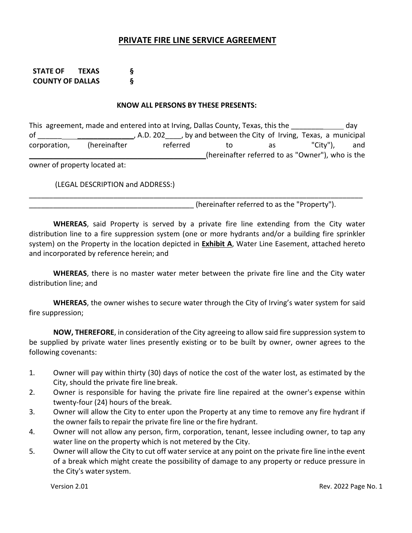# **PRIVATE FIRE LINE SERVICE AGREEMENT**

**STATE OF TEXAS § COUNTY OF DALLAS §**

### **KNOW ALL PERSONS BY THESE PRESENTS:**

This agreement, made and entered into at Irving, Dallas County, Texas, this the \_\_\_\_\_\_\_\_\_\_\_\_\_\_\_\_ day of \_\_\_\_\_\_\_\_\_\_\_\_\_\_\_\_\_\_\_\_\_, A.D. 202 \_\_\_, by and between the City of Irving, Texas, a municipal corporation, (hereinafter referred to as "City"), and (hereinafter referred to as "Owner"), who is the

owner of property located at:

(LEGAL DESCRIPTION and ADDRESS:)

(hereinafter referred to as the "Property").

**WHEREAS**, said Property is served by a private fire line extending from the City water distribution line to a fire suppression system (one or more hydrants and/or a building fire sprinkler system) on the Property in the location depicted in **Exhibit A**, Water Line Easement, attached hereto and incorporated by reference herein; and

\_\_\_\_\_\_\_\_\_\_\_\_\_\_\_\_\_\_\_\_\_\_\_\_\_\_\_\_\_\_\_\_\_\_\_\_\_\_\_\_\_\_\_\_\_\_\_\_\_\_\_\_\_\_\_\_\_\_\_\_\_\_\_\_\_\_\_\_\_\_\_\_\_\_\_\_\_\_\_\_\_\_\_

**WHEREAS**, there is no master water meter between the private fire line and the City water distribution line; and

**WHEREAS**, the owner wishes to secure water through the City of Irving's water system for said fire suppression;

**NOW, THEREFORE**, in consideration of the City agreeing to allow said fire suppression system to be supplied by private water lines presently existing or to be built by owner, owner agrees to the following covenants:

- 1. Owner will pay within thirty (30) days of notice the cost of the water lost, as estimated by the City, should the private fire line break.
- 2. Owner is responsible for having the private fire line repaired at the owner's expense within twenty‐four (24) hours of the break.
- 3. Owner will allow the City to enter upon the Property at any time to remove any fire hydrant if the owner fails to repair the private fire line or the fire hydrant.
- 4. Owner will not allow any person, firm, corporation, tenant, lessee including owner, to tap any water line on the property which is not metered by the City.
- 5. Owner will allow the City to cut off water service at any point on the private fire line inthe event of a break which might create the possibility of damage to any property or reduce pressure in the City's water system.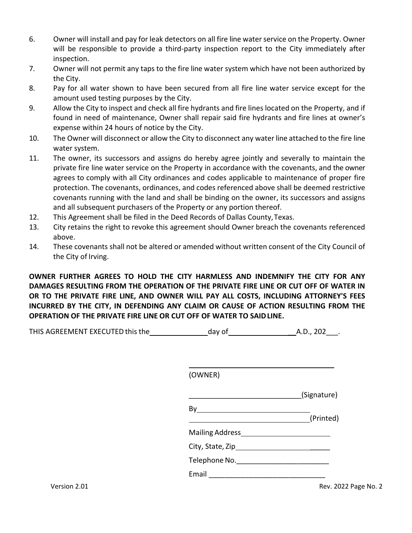- 6. Owner will install and pay for leak detectors on all fire line waterservice on the Property. Owner will be responsible to provide a third-party inspection report to the City immediately after inspection.
- 7. Owner will not permit any taps to the fire line water system which have not been authorized by the City.
- 8. Pay for all water shown to have been secured from all fire line water service except for the amount used testing purposes by the City.
- 9. Allow the City to inspect and check all fire hydrants and fire lines located on the Property, and if found in need of maintenance, Owner shall repair said fire hydrants and fire lines at owner's expense within 24 hours of notice by the City.
- 10. The Owner will disconnect or allow the City to disconnect any water line attached to the fire line water system.
- 11. The owner, its successors and assigns do hereby agree jointly and severally to maintain the private fire line water service on the Property in accordance with the covenants, and the owner agrees to comply with all City ordinances and codes applicable to maintenance of proper fire protection. The covenants, ordinances, and codes referenced above shall be deemed restrictive covenants running with the land and shall be binding on the owner, its successors and assigns and all subsequent purchasers of the Property or any portion thereof.
- 12. This Agreement shall be filed in the Deed Records of Dallas County,Texas.
- 13. City retains the right to revoke this agreement should Owner breach the covenants referenced above.
- 14. These covenants shall not be altered or amended without written consent of the City Council of the City of Irving.

**OWNER FURTHER AGREES TO HOLD THE CITY HARMLESS AND INDEMNIFY THE CITY FOR ANY DAMAGES RESULTING FROM THE OPERATION OF THE PRIVATE FIRE LINE OR CUT OFF OF WATER IN OR TO THE PRIVATE FIRE LINE, AND OWNER WILL PAY ALL COSTS, INCLUDING ATTORNEY'S FEES INCURRED BY THE CITY, IN DEFENDING ANY CLAIM OR CAUSE OF ACTION RESULTING FROM THE OPERATION OF THE PRIVATE FIRE LINE OR CUT OFF OF WATER TO SAIDLINE.**

| THIS AGREEMENT EXECUTED this the | dav of | A.D., 202 |
|----------------------------------|--------|-----------|
|----------------------------------|--------|-----------|

(OWNER) \_\_\_\_\_\_\_\_\_\_\_\_\_\_\_\_\_\_\_\_\_\_\_\_\_\_\_\_(Signature) By (Printed) Mailing Address<br>
<u>Mailing Address</u> City, State, Zip \_\_\_\_\_ TelephoneNo.\_\_\_\_\_\_\_\_\_\_\_\_\_\_\_\_\_\_\_\_\_\_\_ Email  $\blacksquare$ 

Version 2.01 **State of the U.S. In the U.S. In the U.S. In the U.S. 2008** Page No. 2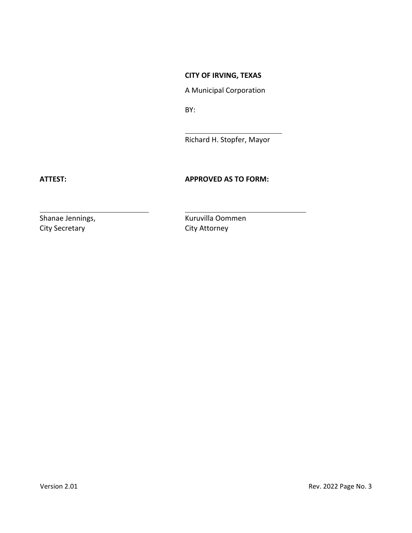# **CITY OF IRVING, TEXAS**

A Municipal Corporation

BY:

Richard H. Stopfer, Mayor

## **ATTEST: APPROVED AS TO FORM:**

City Secretary **City Attorney** 

Shanae Jennings, **Manae Jennings, Engles** Kuruvilla Oommen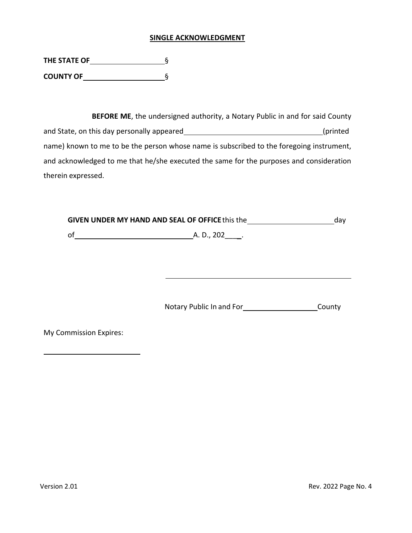#### **SINGLE ACKNOWLEDGMENT**

| THE STATE OF     |  |
|------------------|--|
| <b>COUNTY OF</b> |  |

**BEFORE ME**, the undersigned authority, a Notary Public in and for said County and State, on this day personally appeared **by a state of the state of the state** (printed name) known to me to be the person whose name is subscribed to the foregoing instrument, and acknowledged to me that he/she executed the same for the purposes and consideration therein expressed.

| GIVEN UNDER MY HAND AND SEAL OF OFFICE this the |                  | dav |
|-------------------------------------------------|------------------|-----|
| οf                                              | A. D., 202_____. |     |
|                                                 |                  |     |
|                                                 |                  |     |
|                                                 |                  |     |
|                                                 |                  |     |
|                                                 |                  |     |

Notary Public In and For<br>
County

My Commission Expires: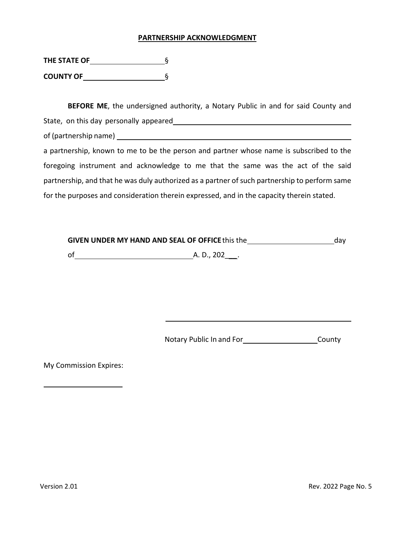#### **PARTNERSHIP ACKNOWLEDGMENT**

| THE STATE OF     |  |
|------------------|--|
| <b>COUNTY OF</b> |  |

**BEFORE ME**, the undersigned authority, a Notary Public in and for said County and State, on this day personally appeared

of (partnership name)

a partnership, known to me to be the person and partner whose name is subscribed to the foregoing instrument and acknowledge to me that the same was the act of the said partnership, and that he was duly authorized as a partner of such partnership to perform same for the purposes and consideration therein expressed, and in the capacity therein stated.

| <b>GIVEN UNDER MY HAND AND SEAL OF OFFICE this the</b> |             | dav |
|--------------------------------------------------------|-------------|-----|
| 0f                                                     | A. D., 202. |     |

Notary Public In and For\_\_\_\_\_\_\_\_\_\_\_\_\_\_\_\_\_\_\_\_\_\_\_\_\_County

My Commission Expires: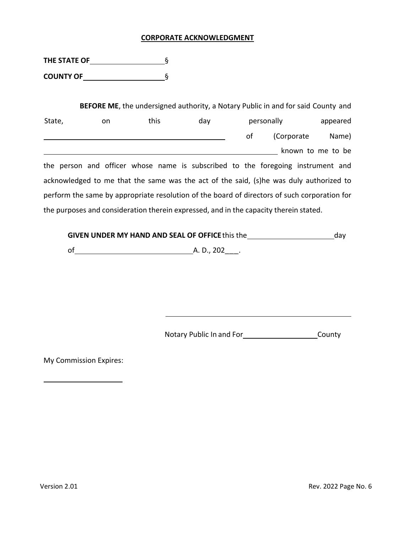## **CORPORATE ACKNOWLEDGMENT**

**THE STATE OF**  § **COUNTY OF**  §

| <b>BEFORE ME</b> , the undersigned authority, a Notary Public in and for said County and |    |      |     |    |                                                                                              |                   |
|------------------------------------------------------------------------------------------|----|------|-----|----|----------------------------------------------------------------------------------------------|-------------------|
| State,                                                                                   | on | this | day |    | personally                                                                                   | appeared          |
|                                                                                          |    |      |     | οf | (Corporate                                                                                   | Name)             |
|                                                                                          |    |      |     |    |                                                                                              | known to me to be |
|                                                                                          |    |      |     |    | the person and officer whose name is subscribed to the foregoing instrument and              |                   |
|                                                                                          |    |      |     |    | acknowledged to me that the same was the act of the said, (s)he was duly authorized to       |                   |
|                                                                                          |    |      |     |    | perform the same by appropriate resolution of the board of directors of such corporation for |                   |
|                                                                                          |    |      |     |    | the purposes and consideration therein expressed, and in the capacity therein stated.        |                   |

| <b>GIVEN UNDER MY HAND AND SEAL OF OFFICE this the</b> |             |  |  |
|--------------------------------------------------------|-------------|--|--|
| of                                                     | A. D., 202. |  |  |

Notary Public In and For<br>
County

My Commission Expires:

 $\overline{\phantom{a}}$